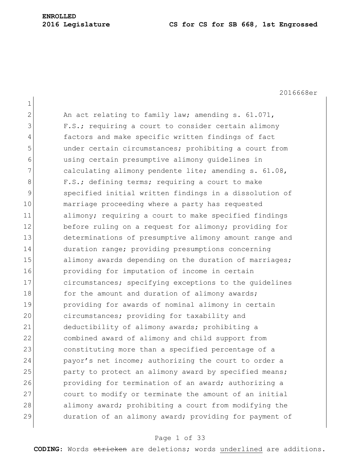2016668er

1 2 An act relating to family law; amending s. 61.071, 3 F.S.; requiring a court to consider certain alimony 4 factors and make specific written findings of fact 5 under certain circumstances; prohibiting a court from 6 using certain presumptive alimony guidelines in 7 calculating alimony pendente lite; amending s. 61.08, 8 F.S.; defining terms; requiring a court to make 9 specified initial written findings in a dissolution of 10 marriage proceeding where a party has requested 11 alimony; requiring a court to make specified findings 12 before ruling on a request for alimony; providing for 13 determinations of presumptive alimony amount range and 14 duration range; providing presumptions concerning 15 alimony awards depending on the duration of marriages; 16 providing for imputation of income in certain 17 circumstances; specifying exceptions to the quidelines 18 for the amount and duration of alimony awards; 19 providing for awards of nominal alimony in certain 20 circumstances; providing for taxability and 21 deductibility of alimony awards; prohibiting a 22 combined award of alimony and child support from 23 constituting more than a specified percentage of a 24 payor's net income; authorizing the court to order a 25 party to protect an alimony award by specified means; 26 providing for termination of an award; authorizing a 27 court to modify or terminate the amount of an initial 28 alimony award; prohibiting a court from modifying the 29 duration of an alimony award; providing for payment of

#### Page 1 of 33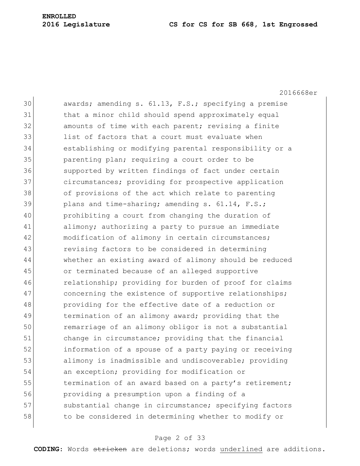2016668er 30 awards; amending s. 61.13, F.S.; specifying a premise 31 that a minor child should spend approximately equal 32 amounts of time with each parent; revising a finite 33 list of factors that a court must evaluate when 34 establishing or modifying parental responsibility or a 35 **parenting plan; requiring a court order to be** 36 Supported by written findings of fact under certain 37 circumstances; providing for prospective application 38 of provisions of the act which relate to parenting 39 plans and time-sharing; amending s. 61.14, F.S.; 40 prohibiting a court from changing the duration of 41 alimony; authorizing a party to pursue an immediate 42 modification of alimony in certain circumstances; 43 revising factors to be considered in determining 44 whether an existing award of alimony should be reduced 45 or terminated because of an alleged supportive 46 relationship; providing for burden of proof for claims 47 concerning the existence of supportive relationships; 48 providing for the effective date of a reduction or 49 termination of an alimony award; providing that the 50 remarriage of an alimony obligor is not a substantial 51 change in circumstance; providing that the financial 52 information of a spouse of a party paying or receiving 53 alimony is inadmissible and undiscoverable; providing 54 an exception; providing for modification or 55 termination of an award based on a party's retirement; 56 providing a presumption upon a finding of a 57 substantial change in circumstance; specifying factors 58 to be considered in determining whether to modify or

#### Page 2 of 33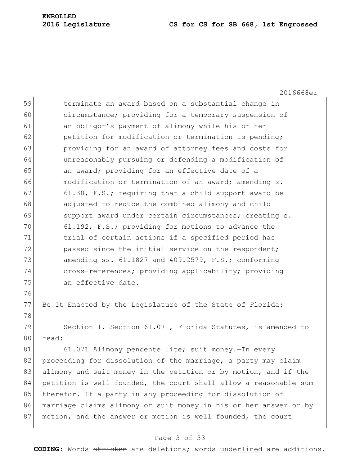2016668er 59 terminate an award based on a substantial change in 60 circumstance; providing for a temporary suspension of 61 an obligor's payment of alimony while his or her  $62$  petition for modification or termination is pending; 63 providing for an award of attorney fees and costs for 64 unreasonably pursuing or defending a modification of 65 an award; providing for an effective date of a 66 modification or termination of an award; amending s. 67 61.30, F.S.; requiring that a child support award be 68 adjusted to reduce the combined alimony and child 69 support award under certain circumstances; creating s. 70 61.192, F.S.; providing for motions to advance the 71 trial of certain actions if a specified period has 72 passed since the initial service on the respondent; 73 amending ss. 61.1827 and 409.2579, F.S.; conforming 74 cross-references; providing applicability; providing 75 an effective date. 76 77 Be It Enacted by the Legislature of the State of Florida: 78 79 Section 1. Section 61.071, Florida Statutes, is amended to 80 read: 81 61.071 Alimony pendente lite; suit money. - In every 82 proceeding for dissolution of the marriage, a party may claim 83 alimony and suit money in the petition or by motion, and if the 84 petition is well founded, the court shall allow a reasonable sum 85 therefor. If a party in any proceeding for dissolution of 86 marriage claims alimony or suit money in his or her answer or by

#### Page 3 of 33

87 motion, and the answer or motion is well founded, the court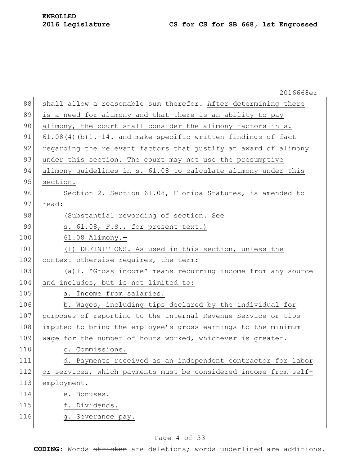2016668er 88 shall allow a reasonable sum therefor. After determining there 89 is a need for alimony and that there is an ability to pay 90 alimony, the court shall consider the alimony factors in s. 91 61.08(4)(b)1.-14. and make specific written findings of fact 92 regarding the relevant factors that justify an award of alimony 93 under this section. The court may not use the presumptive 94 alimony guidelines in s. 61.08 to calculate alimony under this 95 section. 96 Section 2. Section 61.08, Florida Statutes, is amended to 97 read: 98 (Substantial rewording of section. See 99 s. 61.08, F.S., for present text.) 100 61.08 Alimony.-101 (1) DEFINITIONS.—As used in this section, unless the 102 context otherwise requires, the term: 103 (a)1. "Gross income" means recurring income from any source 104 and includes, but is not limited to: 105 a. Income from salaries. 106 b. Wages, including tips declared by the individual for 107 purposes of reporting to the Internal Revenue Service or tips 108 imputed to bring the employee's gross earnings to the minimum 109 wage for the number of hours worked, whichever is greater. 110 c. Commissions. 111 d. Payments received as an independent contractor for labor 112 or services, which payments must be considered income from self-113 employment. 114 e. Bonuses. 115 f. Dividends. 116 g. Severance pay.

#### Page 4 of 33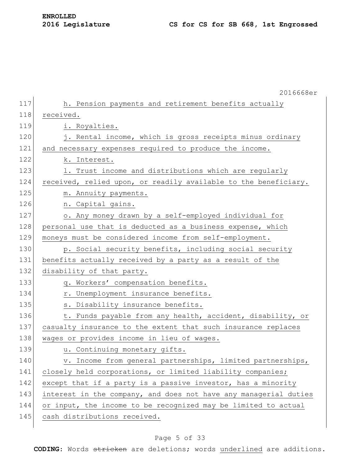|     | 2016668er                                                        |
|-----|------------------------------------------------------------------|
| 117 | h. Pension payments and retirement benefits actually             |
| 118 | received.                                                        |
| 119 | i. Royalties.                                                    |
| 120 | j. Rental income, which is gross receipts minus ordinary         |
| 121 | and necessary expenses required to produce the income.           |
| 122 | k. Interest.                                                     |
| 123 | 1. Trust income and distributions which are regularly            |
| 124 | received, relied upon, or readily available to the beneficiary.  |
| 125 | m. Annuity payments.                                             |
| 126 | n. Capital gains.                                                |
| 127 | o. Any money drawn by a self-employed individual for             |
| 128 | personal use that is deducted as a business expense, which       |
| 129 | moneys must be considered income from self-employment.           |
| 130 | p. Social security benefits, including social security           |
| 131 | benefits actually received by a party as a result of the         |
| 132 | disability of that party.                                        |
| 133 | q. Workers' compensation benefits.                               |
| 134 | r. Unemployment insurance benefits.                              |
| 135 | s. Disability insurance benefits.                                |
| 136 | t. Funds payable from any health, accident, disability, or       |
| 137 | casualty insurance to the extent that such insurance replaces    |
| 138 | wages or provides income in lieu of wages.                       |
| 139 | u. Continuing monetary gifts.                                    |
| 140 | v. Income from general partnerships, limited partnerships,       |
| 141 | closely held corporations, or limited liability companies;       |
| 142 | except that if a party is a passive investor, has a minority     |
| 143 | interest in the company, and does not have any managerial duties |
| 144 | or input, the income to be recognized may be limited to actual   |
| 145 | cash distributions received.                                     |
|     |                                                                  |

### Page 5 of 33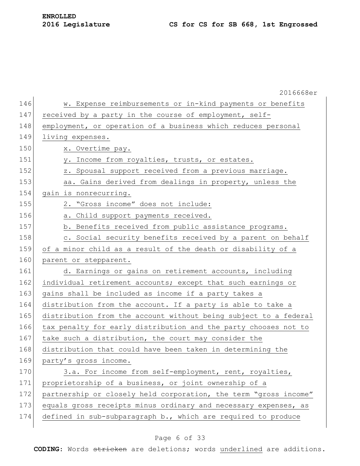|     | 2016668er                                                        |
|-----|------------------------------------------------------------------|
| 146 | w. Expense reimbursements or in-kind payments or benefits        |
| 147 | received by a party in the course of employment, self-           |
| 148 | employment, or operation of a business which reduces personal    |
| 149 | living expenses.                                                 |
| 150 | x. Overtime pay.                                                 |
| 151 | Income from royalties, trusts, or estates.<br>y.                 |
| 152 | z. Spousal support received from a previous marriage.            |
| 153 | aa. Gains derived from dealings in property, unless the          |
| 154 | gain is nonrecurring.                                            |
| 155 | 2. "Gross income" does not include:                              |
| 156 | a. Child support payments received.                              |
| 157 | b. Benefits received from public assistance programs.            |
| 158 | c. Social security benefits received by a parent on behalf       |
| 159 | of a minor child as a result of the death or disability of a     |
| 160 | parent or stepparent.                                            |
| 161 | d. Earnings or gains on retirement accounts, including           |
| 162 | individual retirement accounts; except that such earnings or     |
| 163 | gains shall be included as income if a party takes a             |
| 164 | distribution from the account. If a party is able to take a      |
| 165 | distribution from the account without being subject to a federal |
| 166 | tax penalty for early distribution and the party chooses not to  |
| 167 | take such a distribution, the court may consider the             |
| 168 | distribution that could have been taken in determining the       |
| 169 | party's gross income.                                            |
| 170 | 3.a. For income from self-employment, rent, royalties,           |
| 171 | proprietorship of a business, or joint ownership of a            |
| 172 | partnership or closely held corporation, the term "gross income" |
| 173 | equals gross receipts minus ordinary and necessary expenses, as  |
| 174 | defined in sub-subparagraph b., which are required to produce    |
|     |                                                                  |

### Page 6 of 33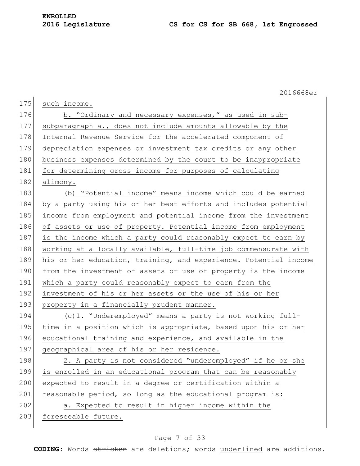2016668er

| 175 | such income.                                                     |
|-----|------------------------------------------------------------------|
| 176 | b. "Ordinary and necessary expenses," as used in sub-            |
| 177 | subparagraph a., does not include amounts allowable by the       |
| 178 | Internal Revenue Service for the accelerated component of        |
| 179 | depreciation expenses or investment tax credits or any other     |
| 180 | business expenses determined by the court to be inappropriate    |
| 181 | for determining gross income for purposes of calculating         |
| 182 | alimony.                                                         |
| 183 | (b) "Potential income" means income which could be earned        |
| 184 | by a party using his or her best efforts and includes potential  |
| 185 | income from employment and potential income from the investment  |
| 186 | of assets or use of property. Potential income from employment   |
| 187 | is the income which a party could reasonably expect to earn by   |
| 188 | working at a locally available, full-time job commensurate with  |
| 189 | his or her education, training, and experience. Potential income |
| 190 | from the investment of assets or use of property is the income   |
| 191 | which a party could reasonably expect to earn from the           |
| 192 | investment of his or her assets or the use of his or her         |
| 193 | property in a financially prudent manner.                        |
| 194 | (c)1. "Underemployed" means a party is not working full-         |
| 195 | time in a position which is appropriate, based upon his or her   |
| 196 | educational training and experience, and available in the        |
| 197 | geographical area of his or her residence.                       |
| 198 | 2. A party is not considered "underemployed" if he or she        |
| 199 | is enrolled in an educational program that can be reasonably     |
| 200 | expected to result in a degree or certification within a         |
| 201 | reasonable period, so long as the educational program is:        |
| 202 | a. Expected to result in higher income within the                |
| 203 | foreseeable future.                                              |
|     |                                                                  |

### Page 7 of 33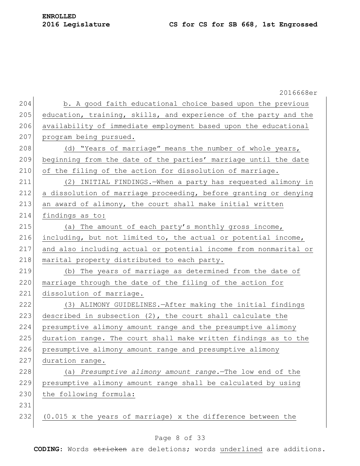|     | 2016668er                                                        |
|-----|------------------------------------------------------------------|
| 204 | b. A good faith educational choice based upon the previous       |
| 205 | education, training, skills, and experience of the party and the |
| 206 | availability of immediate employment based upon the educational  |
| 207 | program being pursued.                                           |
| 208 | (d) "Years of marriage" means the number of whole years,         |
| 209 | beginning from the date of the parties' marriage until the date  |
| 210 | of the filing of the action for dissolution of marriage.         |
| 211 | (2) INITIAL FINDINGS. - When a party has requested alimony in    |
| 212 | a dissolution of marriage proceeding, before granting or denying |
| 213 | an award of alimony, the court shall make initial written        |
| 214 | findings as to:                                                  |
| 215 | (a) The amount of each party's monthly gross income,             |
| 216 | including, but not limited to, the actual or potential income,   |
| 217 | and also including actual or potential income from nonmarital or |
| 218 | marital property distributed to each party.                      |
| 219 | (b) The years of marriage as determined from the date of         |
| 220 | marriage through the date of the filing of the action for        |
| 221 | dissolution of marriage.                                         |
| 222 | (3) ALIMONY GUIDELINES. - After making the initial findings      |
| 223 | described in subsection (2), the court shall calculate the       |
| 224 | presumptive alimony amount range and the presumptive alimony     |
| 225 | duration range. The court shall make written findings as to the  |
| 226 | presumptive alimony amount range and presumptive alimony         |
| 227 | duration range.                                                  |
| 228 | (a) Presumptive alimony amount range. The low end of the         |
| 229 | presumptive alimony amount range shall be calculated by using    |
| 230 | the following formula:                                           |
| 231 |                                                                  |
| 232 | (0.015 x the years of marriage) x the difference between the     |

### Page 8 of 33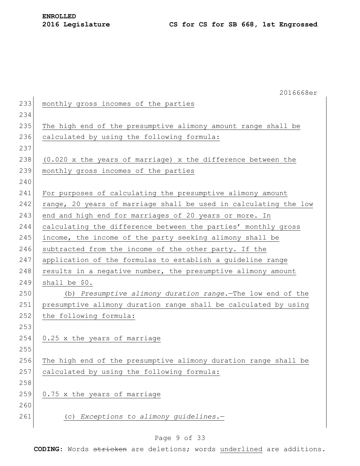|     | 2016668er                                                        |
|-----|------------------------------------------------------------------|
| 233 | monthly gross incomes of the parties                             |
| 234 |                                                                  |
| 235 | The high end of the presumptive alimony amount range shall be    |
| 236 | calculated by using the following formula:                       |
| 237 |                                                                  |
| 238 | (0.020 x the years of marriage) x the difference between the     |
| 239 | monthly gross incomes of the parties                             |
| 240 |                                                                  |
| 241 | For purposes of calculating the presumptive alimony amount       |
| 242 | range, 20 years of marriage shall be used in calculating the low |
| 243 | end and high end for marriages of 20 years or more. In           |
| 244 | calculating the difference between the parties' monthly gross    |
| 245 | income, the income of the party seeking alimony shall be         |
| 246 | subtracted from the income of the other party. If the            |
| 247 | application of the formulas to establish a guideline range       |
| 248 | results in a negative number, the presumptive alimony amount     |
| 249 | shall be \$0.                                                    |
| 250 | (b) Presumptive alimony duration range. The low end of the       |
| 251 | presumptive alimony duration range shall be calculated by using  |
| 252 | the following formula:                                           |
| 253 |                                                                  |
| 254 | 0.25 x the years of marriage                                     |
| 255 |                                                                  |
| 256 | The high end of the presumptive alimony duration range shall be  |
| 257 | calculated by using the following formula:                       |
| 258 |                                                                  |
| 259 | 0.75 x the years of marriage                                     |
| 260 |                                                                  |
| 261 | (c) Exceptions to alimony guidelines.-                           |
|     |                                                                  |

### Page 9 of 33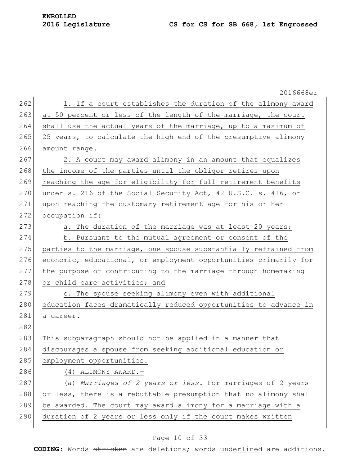**ENROLLED**

|     | 2016668er                                                        |
|-----|------------------------------------------------------------------|
| 262 | 1. If a court establishes the duration of the alimony award      |
| 263 | at 50 percent or less of the length of the marriage, the court   |
| 264 | shall use the actual years of the marriage, up to a maximum of   |
| 265 | 25 years, to calculate the high end of the presumptive alimony   |
| 266 | amount range.                                                    |
| 267 | 2. A court may award alimony in an amount that equalizes         |
| 268 | the income of the parties until the obligor retires upon         |
| 269 | reaching the age for eligibility for full retirement benefits    |
| 270 | under s. 216 of the Social Security Act, 42 U.S.C. s. 416, or    |
| 271 | upon reaching the customary retirement age for his or her        |
| 272 | occupation if:                                                   |
| 273 | a. The duration of the marriage was at least 20 years;           |
| 274 | b. Pursuant to the mutual agreement or consent of the            |
| 275 | parties to the marriage, one spouse substantially refrained from |
| 276 | economic, educational, or employment opportunities primarily for |
| 277 | the purpose of contributing to the marriage through homemaking   |
| 278 | or child care activities; and                                    |
| 279 | c. The spouse seeking alimony even with additional               |
| 280 | education faces dramatically reduced opportunities to advance in |
| 281 | a career.                                                        |
| 282 |                                                                  |
| 283 | This subparagraph should not be applied in a manner that         |
| 284 | discourages a spouse from seeking additional education or        |
| 285 | employment opportunities.                                        |
| 286 | (4) ALIMONY AWARD.-                                              |
| 287 | (a) Marriages of 2 years or less.-For marriages of 2 years       |
| 288 | or less, there is a rebuttable presumption that no alimony shall |
| 289 | be awarded. The court may award alimony for a marriage with a    |
| 290 | duration of 2 years or less only if the court makes written      |
|     |                                                                  |

### Page 10 of 33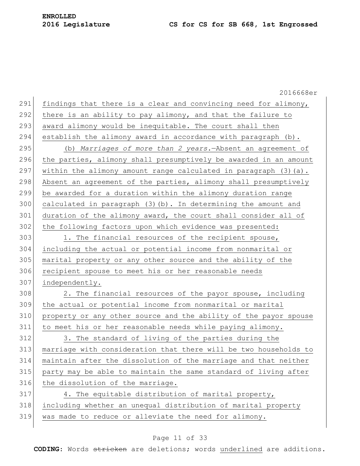|     | 2016668er                                                        |
|-----|------------------------------------------------------------------|
| 291 | findings that there is a clear and convincing need for alimony,  |
| 292 | there is an ability to pay alimony, and that the failure to      |
| 293 | award alimony would be inequitable. The court shall then         |
| 294 | establish the alimony award in accordance with paragraph (b).    |
| 295 | (b) Marriages of more than 2 years. - Absent an agreement of     |
| 296 | the parties, alimony shall presumptively be awarded in an amount |
| 297 | within the alimony amount range calculated in paragraph (3) (a). |
| 298 | Absent an agreement of the parties, alimony shall presumptively  |
| 299 | be awarded for a duration within the alimony duration range      |
| 300 | calculated in paragraph (3) (b). In determining the amount and   |
| 301 | duration of the alimony award, the court shall consider all of   |
| 302 | the following factors upon which evidence was presented:         |
| 303 | 1. The financial resources of the recipient spouse,              |
| 304 | including the actual or potential income from nonmarital or      |
| 305 | marital property or any other source and the ability of the      |
| 306 | recipient spouse to meet his or her reasonable needs             |
| 307 | independently.                                                   |
| 308 | 2. The financial resources of the payor spouse, including        |
| 309 | the actual or potential income from nonmarital or marital        |
| 310 | property or any other source and the ability of the payor spouse |
| 311 | to meet his or her reasonable needs while paying alimony.        |
| 312 | 3. The standard of living of the parties during the              |
| 313 | marriage with consideration that there will be two households to |
| 314 | maintain after the dissolution of the marriage and that neither  |
| 315 | party may be able to maintain the same standard of living after  |
| 316 | the dissolution of the marriage.                                 |
| 317 | 4. The equitable distribution of marital property,               |
| 318 | including whether an unequal distribution of marital property    |
| 319 | was made to reduce or alleviate the need for alimony.            |
|     |                                                                  |

### Page 11 of 33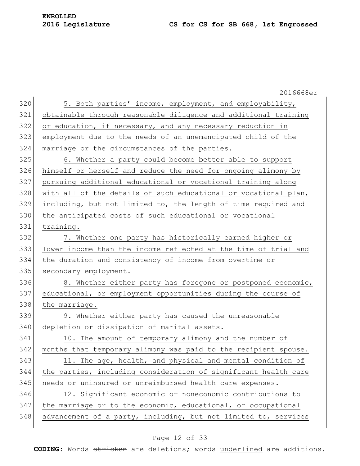2016668er 320 5. Both parties' income, employment, and employability, obtainable through reasonable diligence and additional training 322 or education, if necessary, and any necessary reduction in employment due to the needs of an unemancipated child of the marriage or the circumstances of the parties. 6. Whether a party could become better able to support himself or herself and reduce the need for ongoing alimony by pursuing additional educational or vocational training along 328 with all of the details of such educational or vocational plan, including, but not limited to, the length of time required and the anticipated costs of such educational or vocational training. 7. Whether one party has historically earned higher or lower income than the income reflected at the time of trial and the duration and consistency of income from overtime or 335 secondary employment. 336 8. Whether either party has foregone or postponed economic, educational, or employment opportunities during the course of 338 the marriage. 9. Whether either party has caused the unreasonable 340 depletion or dissipation of marital assets. 341 10. The amount of temporary alimony and the number of months that temporary alimony was paid to the recipient spouse. 343 11. The age, health, and physical and mental condition of the parties, including consideration of significant health care 345 needs or uninsured or unreimbursed health care expenses. 12. Significant economic or noneconomic contributions to the marriage or to the economic, educational, or occupational advancement of a party, including, but not limited to, services

#### Page 12 of 33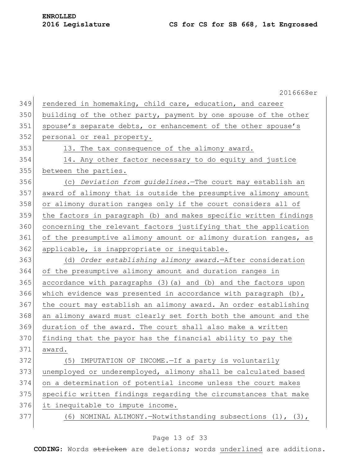|     | 2016668er                                                         |
|-----|-------------------------------------------------------------------|
| 349 | rendered in homemaking, child care, education, and career         |
| 350 | building of the other party, payment by one spouse of the other   |
| 351 | spouse's separate debts, or enhancement of the other spouse's     |
| 352 | personal or real property.                                        |
| 353 | 13. The tax consequence of the alimony award.                     |
| 354 | 14. Any other factor necessary to do equity and justice           |
| 355 | between the parties.                                              |
| 356 | (c) Deviation from guidelines. The court may establish an         |
| 357 | award of alimony that is outside the presumptive alimony amount   |
| 358 | or alimony duration ranges only if the court considers all of     |
| 359 | the factors in paragraph (b) and makes specific written findings  |
| 360 | concerning the relevant factors justifying that the application   |
| 361 | of the presumptive alimony amount or alimony duration ranges, as  |
| 362 | applicable, is inappropriate or inequitable.                      |
| 363 | (d) Order establishing alimony award. - After consideration       |
| 364 | of the presumptive alimony amount and duration ranges in          |
| 365 | accordance with paragraphs (3) (a) and (b) and the factors upon   |
| 366 | which evidence was presented in accordance with paragraph $(b)$ , |
| 367 | the court may establish an alimony award. An order establishing   |
| 368 | an alimony award must clearly set forth both the amount and the   |
| 369 | duration of the award. The court shall also make a written        |
| 370 | finding that the payor has the financial ability to pay the       |
| 371 | award.                                                            |
| 372 | IMPUTATION OF INCOME.-If a party is voluntarily<br>(5)            |
| 373 | unemployed or underemployed, alimony shall be calculated based    |
| 374 | on a determination of potential income unless the court makes     |
| 375 | specific written findings regarding the circumstances that make   |
| 376 | it inequitable to impute income.                                  |
| 377 | (6) NOMINAL ALIMONY.-Notwithstanding subsections (1), (3),        |
|     |                                                                   |

### Page 13 of 33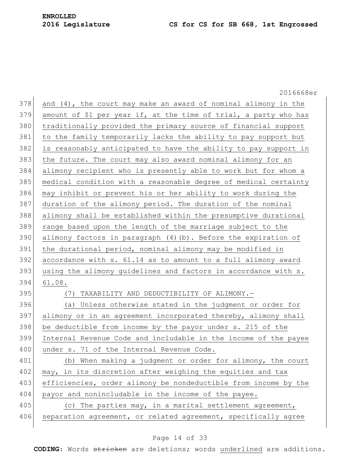|     | 2016668er                                                        |
|-----|------------------------------------------------------------------|
| 378 | and (4), the court may make an award of nominal alimony in the   |
| 379 | amount of \$1 per year if, at the time of trial, a party who has |
| 380 | traditionally provided the primary source of financial support   |
| 381 | to the family temporarily lacks the ability to pay support but   |
| 382 | is reasonably anticipated to have the ability to pay support in  |
| 383 | the future. The court may also award nominal alimony for an      |
| 384 | alimony recipient who is presently able to work but for whom a   |
| 385 | medical condition with a reasonable degree of medical certainty  |
| 386 | may inhibit or prevent his or her ability to work during the     |
| 387 | duration of the alimony period. The duration of the nominal      |
| 388 | alimony shall be established within the presumptive durational   |
| 389 | range based upon the length of the marriage subject to the       |
| 390 | alimony factors in paragraph (4)(b). Before the expiration of    |
| 391 | the durational period, nominal alimony may be modified in        |
| 392 | accordance with s. 61.14 as to amount to a full alimony award    |
| 393 | using the alimony guidelines and factors in accordance with s.   |
| 394 | 61.08.                                                           |
| 395 | TAXABILITY AND DEDUCTIBILITY OF ALIMONY.-<br>(7)                 |
| 396 | (a) Unless otherwise stated in the judgment or order for         |
| 397 | alimony or in an agreement incorporated thereby, alimony shall   |
| 398 | be deductible from income by the payor under s. 215 of the       |
| 399 | Internal Revenue Code and includable in the income of the payee  |
| 400 | under s. 71 of the Internal Revenue Code.                        |
| 401 | (b) When making a judgment or order for alimony, the court       |
| 402 | may, in its discretion after weighing the equities and tax       |
| 403 | efficiencies, order alimony be nondeductible from income by the  |
| 404 | payor and nonincludable in the income of the payee.              |
| 405 | (c) The parties may, in a marital settlement agreement,          |
| 406 | separation agreement, or related agreement, specifically agree   |
|     |                                                                  |

### Page 14 of 33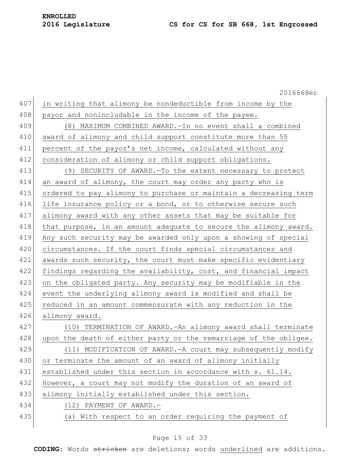2016668er 407 in writing that alimony be nondeductible from income by the 408 payor and nonincludable in the income of the payee. 409 (8) MAXIMUM COMBINED AWARD.—In no event shall a combined 410 award of alimony and child support constitute more than 55 411 percent of the payor's net income, calculated without any 412 consideration of alimony or child support obligations. 413 (9) SECURITY OF AWARD.—To the extent necessary to protect 414 an award of alimony, the court may order any party who is 415 ordered to pay alimony to purchase or maintain a decreasing term 416 life insurance policy or a bond, or to otherwise secure such 417 alimony award with any other assets that may be suitable for 418 that purpose, in an amount adequate to secure the alimony award. 419 Any such security may be awarded only upon a showing of special 420 circumstances. If the court finds special circumstances and 421 awards such security, the court must make specific evidentiary 422 findings regarding the availability, cost, and financial impact 423 on the obligated party. Any security may be modifiable in the 424 event the underlying alimony award is modified and shall be 425 reduced in an amount commensurate with any reduction in the 426 alimony award. 427 (10) TERMINATION OF AWARD.—An alimony award shall terminate 428 upon the death of either party or the remarriage of the obligee. 429 (11) MODIFICATION OF AWARD.—A court may subsequently modify 430 or terminate the amount of an award of alimony initially 431 established under this section in accordance with s. 61.14. 432 However, a court may not modify the duration of an award of 433 alimony initially established under this section. 434 (12) PAYMENT OF AWARD. 435 (a) With respect to an order requiring the payment of

#### Page 15 of 33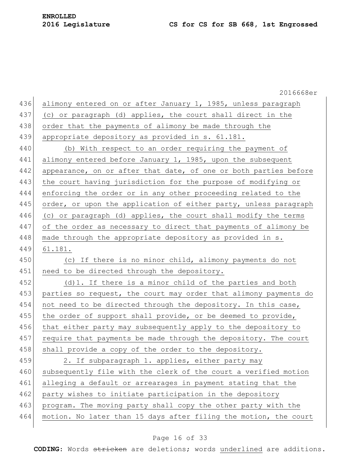|     | 2016668er                                                        |
|-----|------------------------------------------------------------------|
| 436 | alimony entered on or after January 1, 1985, unless paragraph    |
| 437 | (c) or paragraph (d) applies, the court shall direct in the      |
| 438 | order that the payments of alimony be made through the           |
| 439 | appropriate depository as provided in s. 61.181.                 |
| 440 | (b) With respect to an order requiring the payment of            |
| 441 | alimony entered before January 1, 1985, upon the subsequent      |
| 442 | appearance, on or after that date, of one or both parties before |
| 443 | the court having jurisdiction for the purpose of modifying or    |
| 444 | enforcing the order or in any other proceeding related to the    |
| 445 | order, or upon the application of either party, unless paragraph |
| 446 | (c) or paragraph (d) applies, the court shall modify the terms   |
| 447 | of the order as necessary to direct that payments of alimony be  |
| 448 | made through the appropriate depository as provided in s.        |
| 449 | 61.181.                                                          |
| 450 | (c) If there is no minor child, alimony payments do not          |
| 451 | need to be directed through the depository.                      |
| 452 | (d) 1. If there is a minor child of the parties and both         |
| 453 | parties so request, the court may order that alimony payments do |
| 454 | not need to be directed through the depository. In this case,    |
| 455 | the order of support shall provide, or be deemed to provide,     |
| 456 | that either party may subsequently apply to the depository to    |
| 457 | require that payments be made through the depository. The court  |
| 458 | shall provide a copy of the order to the depository.             |
| 459 | 2. If subparagraph 1. applies, either party may                  |
| 460 | subsequently file with the clerk of the court a verified motion  |
| 461 | alleging a default or arrearages in payment stating that the     |
| 462 | party wishes to initiate participation in the depository         |
| 463 | program. The moving party shall copy the other party with the    |
| 464 | motion. No later than 15 days after filing the motion, the court |
|     |                                                                  |

### Page 16 of 33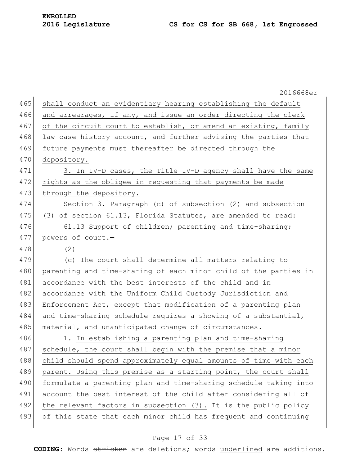| 2016668er                                                              |
|------------------------------------------------------------------------|
| 465<br>shall conduct an evidentiary hearing establishing the default   |
| and arrearages, if any, and issue an order directing the clerk         |
| of the circuit court to establish, or amend an existing, family        |
| law case history account, and further advising the parties that        |
| 469<br>future payments must thereafter be directed through the         |
| depository.                                                            |
| 3. In IV-D cases, the Title IV-D agency shall have the same            |
| rights as the obligee in requesting that payments be made              |
| through the depository.                                                |
| 474<br>Section 3. Paragraph (c) of subsection (2) and subsection       |
| 475<br>(3) of section 61.13, Florida Statutes, are amended to read:    |
| 61.13 Support of children; parenting and time-sharing;                 |
| 477<br>powers of court.-                                               |
| (2)                                                                    |
| (c) The court shall determine all matters relating to                  |
| parenting and time-sharing of each minor child of the parties in       |
| accordance with the best interests of the child and in                 |
| accordance with the Uniform Child Custody Jurisdiction and             |
| 483<br>Enforcement Act, except that modification of a parenting plan   |
| and time-sharing schedule requires a showing of a substantial,         |
| material, and unanticipated change of circumstances.                   |
| 1. In establishing a parenting plan and time-sharing                   |
| 487<br>schedule, the court shall begin with the premise that a minor   |
| child should spend approximately equal amounts of time with each       |
| 489<br>parent. Using this premise as a starting point, the court shall |
| formulate a parenting plan and time-sharing schedule taking into       |
| account the best interest of the child after considering all of        |
| the relevant factors in subsection (3). It is the public policy        |
| of this state that each minor child has frequent and continuing        |
|                                                                        |

### Page 17 of 33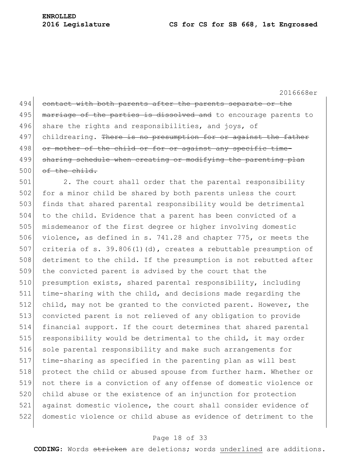2016668er 494 contact with both parents after the parents separate or the 495 marriage of the parties is dissolved and to encourage parents to 496 share the rights and responsibilities, and joys, of 497 childrearing. There is no presumption for or against the father 498 or mother of the child or for or against any specific time-499 sharing schedule when creating or modifying the parenting plan  $500$  of the child. 501 2. The court shall order that the parental responsibility 502 for a minor child be shared by both parents unless the court 503 finds that shared parental responsibility would be detrimental 504 to the child. Evidence that a parent has been convicted of a 505 misdemeanor of the first degree or higher involving domestic

 violence, as defined in s. 741.28 and chapter 775, or meets the 507 criteria of s. 39.806(1)(d), creates a rebuttable presumption of 508 detriment to the child. If the presumption is not rebutted after the convicted parent is advised by the court that the 510 presumption exists, shared parental responsibility, including time-sharing with the child, and decisions made regarding the child, may not be granted to the convicted parent. However, the convicted parent is not relieved of any obligation to provide financial support. If the court determines that shared parental 515 responsibility would be detrimental to the child, it may order 516 sole parental responsibility and make such arrangements for time-sharing as specified in the parenting plan as will best 518 protect the child or abused spouse from further harm. Whether or not there is a conviction of any offense of domestic violence or child abuse or the existence of an injunction for protection against domestic violence, the court shall consider evidence of domestic violence or child abuse as evidence of detriment to the

#### Page 18 of 33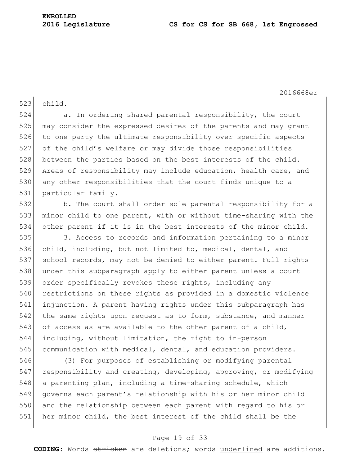2016668er

523 child.

524 a. In ordering shared parental responsibility, the court 525 may consider the expressed desires of the parents and may grant 526 to one party the ultimate responsibility over specific aspects 527 of the child's welfare or may divide those responsibilities 528 between the parties based on the best interests of the child. 529 Areas of responsibility may include education, health care, and 530 any other responsibilities that the court finds unique to a 531 particular family.

532 b. The court shall order sole parental responsibility for a 533 | minor child to one parent, with or without time-sharing with the 534 other parent if it is in the best interests of the minor child.

535 3. Access to records and information pertaining to a minor 536 child, including, but not limited to, medical, dental, and 537 school records, may not be denied to either parent. Full rights 538 under this subparagraph apply to either parent unless a court 539 order specifically revokes these rights, including any 540 restrictions on these rights as provided in a domestic violence 541 injunction. A parent having rights under this subparagraph has 542 the same rights upon request as to form, substance, and manner 543 of access as are available to the other parent of a child, 544 including, without limitation, the right to in-person 545 communication with medical, dental, and education providers.

 (3) For purposes of establishing or modifying parental 547 responsibility and creating, developing, approving, or modifying a parenting plan, including a time-sharing schedule, which governs each parent's relationship with his or her minor child and the relationship between each parent with regard to his or her minor child, the best interest of the child shall be the

#### Page 19 of 33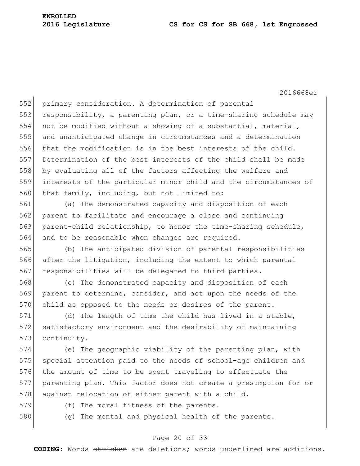2016668er

552 primary consideration. A determination of parental 553 responsibility, a parenting plan, or a time-sharing schedule may 554 not be modified without a showing of a substantial, material, 555 and unanticipated change in circumstances and a determination 556 that the modification is in the best interests of the child. 557 Determination of the best interests of the child shall be made 558 by evaluating all of the factors affecting the welfare and 559 interests of the particular minor child and the circumstances of 560 that family, including, but not limited to:

561 (a) The demonstrated capacity and disposition of each 562 parent to facilitate and encourage a close and continuing 563 parent-child relationship, to honor the time-sharing schedule, 564 and to be reasonable when changes are required.

565 (b) The anticipated division of parental responsibilities 566 after the litigation, including the extent to which parental 567 responsibilities will be delegated to third parties.

568 (c) The demonstrated capacity and disposition of each 569 parent to determine, consider, and act upon the needs of the 570 child as opposed to the needs or desires of the parent.

571 (d) The length of time the child has lived in a stable, 572 satisfactory environment and the desirability of maintaining 573 continuity.

574 (e) The geographic viability of the parenting plan, with 575 special attention paid to the needs of school-age children and 576 the amount of time to be spent traveling to effectuate the 577 parenting plan. This factor does not create a presumption for or 578 against relocation of either parent with a child.

- 
- 579 (f) The moral fitness of the parents.
- 580 (g) The mental and physical health of the parents.

#### Page 20 of 33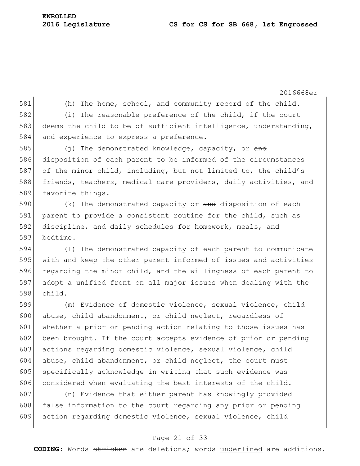2016668er 581 (h) The home, school, and community record of the child. 582 (i) The reasonable preference of the child, if the court 583 deems the child to be of sufficient intelligence, understanding, 584 and experience to express a preference. 585 (j) The demonstrated knowledge, capacity, or and 586 disposition of each parent to be informed of the circumstances 587 of the minor child, including, but not limited to, the child's 588 friends, teachers, medical care providers, daily activities, and 589 favorite things. 590  $($ k) The demonstrated capacity or and disposition of each 591 parent to provide a consistent routine for the child, such as 592 discipline, and daily schedules for homework, meals, and 593 bedtime. 594 (l) The demonstrated capacity of each parent to communicate 595 with and keep the other parent informed of issues and activities 596 regarding the minor child, and the willingness of each parent to 597 adopt a unified front on all major issues when dealing with the 598 child. 599 (m) Evidence of domestic violence, sexual violence, child 600 abuse, child abandonment, or child neglect, regardless of 601 whether a prior or pending action relating to those issues has 602 been brought. If the court accepts evidence of prior or pending 603 actions regarding domestic violence, sexual violence, child  $604$  abuse, child abandonment, or child neglect, the court must 605 specifically acknowledge in writing that such evidence was 606 considered when evaluating the best interests of the child. 607 (n) Evidence that either parent has knowingly provided 608 false information to the court regarding any prior or pending 609 action regarding domestic violence, sexual violence, child

#### Page 21 of 33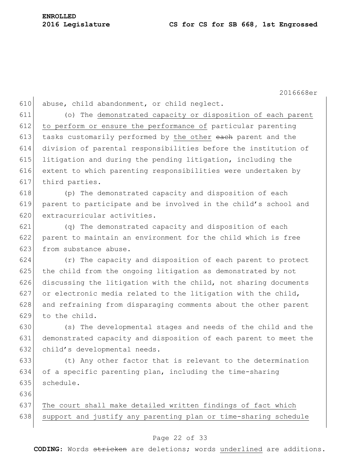2016668er

610 abuse, child abandonment, or child neglect.

 (o) The demonstrated capacity or disposition of each parent to perform or ensure the performance of particular parenting 613 tasks customarily performed by the other each parent and the division of parental responsibilities before the institution of 615 litigation and during the pending litigation, including the extent to which parenting responsibilities were undertaken by third parties.

618 (p) The demonstrated capacity and disposition of each 619 parent to participate and be involved in the child's school and 620 extracurricular activities.

621 (q) The demonstrated capacity and disposition of each 622 parent to maintain an environment for the child which is free 623 from substance abuse.

624 (r) The capacity and disposition of each parent to protect 625 the child from the ongoing litigation as demonstrated by not 626 discussing the litigation with the child, not sharing documents 627 or electronic media related to the litigation with the child, 628 and refraining from disparaging comments about the other parent 629 to the child.

630 (s) The developmental stages and needs of the child and the 631 demonstrated capacity and disposition of each parent to meet the 632 child's developmental needs.

633 (t) Any other factor that is relevant to the determination 634 of a specific parenting plan, including the time-sharing 635 schedule.

636

637 The court shall make detailed written findings of fact which 638 support and justify any parenting plan or time-sharing schedule

#### Page 22 of 33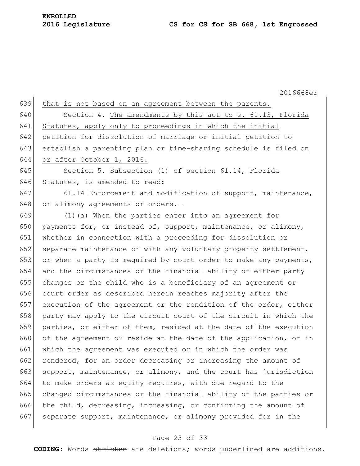2016668er 639 that is not based on an agreement between the parents. 640 Section 4. The amendments by this act to s. 61.13, Florida 641 Statutes, apply only to proceedings in which the initial 642 petition for dissolution of marriage or initial petition to 643 establish a parenting plan or time-sharing schedule is filed on 644 or after October 1, 2016. 645 Section 5. Subsection (1) of section 61.14, Florida 646 Statutes, is amended to read: 647 61.14 Enforcement and modification of support, maintenance, 648 or alimony agreements or orders. $-$ 649 (1)(a) When the parties enter into an agreement for 650 payments for, or instead of, support, maintenance, or alimony, 651 whether in connection with a proceeding for dissolution or 652 separate maintenance or with any voluntary property settlement, 653 or when a party is required by court order to make any payments, 654 and the circumstances or the financial ability of either party 655 changes or the child who is a beneficiary of an agreement or 656 court order as described herein reaches majority after the 657 execution of the agreement or the rendition of the order, either 658 party may apply to the circuit court of the circuit in which the 659 parties, or either of them, resided at the date of the execution 660 of the agreement or reside at the date of the application, or in 661 which the agreement was executed or in which the order was 662 rendered, for an order decreasing or increasing the amount of 663 support, maintenance, or alimony, and the court has jurisdiction 664 to make orders as equity requires, with due regard to the 665 changed circumstances or the financial ability of the parties or 666 the child, decreasing, increasing, or confirming the amount of 667 separate support, maintenance, or alimony provided for in the

#### Page 23 of 33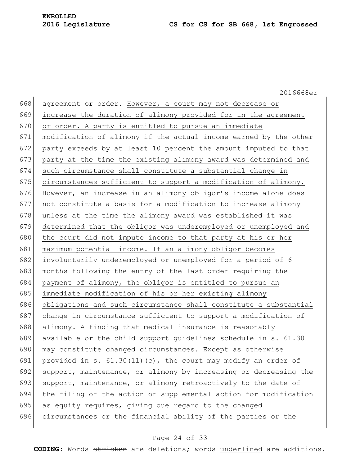2016668er 668 agreement or order. However, a court may not decrease or 669 increase the duration of alimony provided for in the agreement 670 or order. A party is entitled to pursue an immediate 671 modification of alimony if the actual income earned by the other 672 party exceeds by at least 10 percent the amount imputed to that 673 | party at the time the existing alimony award was determined and 674 such circumstance shall constitute a substantial change in 675 circumstances sufficient to support a modification of alimony. 676 However, an increase in an alimony obligor's income alone does  $677$  not constitute a basis for a modification to increase alimony 678 unless at the time the alimony award was established it was 679 determined that the obligor was underemployed or unemployed and 680 the court did not impute income to that party at his or her 681 maximum potential income. If an alimony obligor becomes 682 involuntarily underemployed or unemployed for a period of 6 683 months following the entry of the last order requiring the 684 payment of alimony, the obligor is entitled to pursue an 685 immediate modification of his or her existing alimony 686 obligations and such circumstance shall constitute a substantial 687 change in circumstance sufficient to support a modification of 688 alimony. A finding that medical insurance is reasonably 689 available or the child support guidelines schedule in s. 61.30 690 may constitute changed circumstances. Except as otherwise 691 provided in s.  $61.30(11)(c)$ , the court may modify an order of 692 support, maintenance, or alimony by increasing or decreasing the 693 support, maintenance, or alimony retroactively to the date of 694 the filing of the action or supplemental action for modification 695 as equity requires, giving due regard to the changed 696 circumstances or the financial ability of the parties or the

#### Page 24 of 33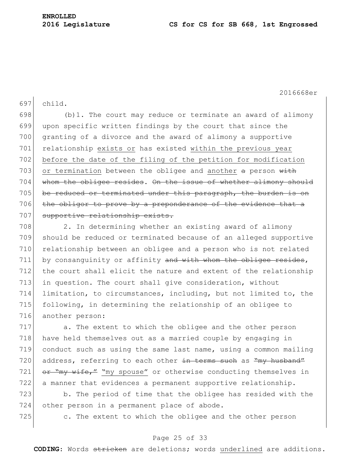2016668er

697 child.

 $698$  (b)1. The court may reduce or terminate an award of alimony 699 upon specific written findings by the court that since the 700 granting of a divorce and the award of alimony a supportive 701 relationship exists or has existed within the previous year 702 before the date of the filing of the petition for modification 703 or termination between the obligee and another  $a$  person with 704 whom the obligee resides. On the issue of whether alimony should 705 be reduced or terminated under this paragraph, the burden is on 706 the obligor to prove by a preponderance of the evidence that a 707 supportive relationship exists.

708 2. In determining whether an existing award of alimony 709 should be reduced or terminated because of an alleged supportive 710 relationship between an obligee and a person who is not related 711 by consanguinity or affinity and with whom the obligee resides, 712 the court shall elicit the nature and extent of the relationship 713 in question. The court shall give consideration, without 714 limitation, to circumstances, including, but not limited to, the 715 following, in determining the relationship of an obligee to 716 another person:

717 a. The extent to which the obligee and the other person 718 have held themselves out as a married couple by engaging in 719 conduct such as using the same last name, using a common mailing 720 address, referring to each other in terms such as "my husband" 721  $or$  "my wife," "my spouse" or otherwise conducting themselves in 722 a manner that evidences a permanent supportive relationship.

723 b. The period of time that the obligee has resided with the 724 other person in a permanent place of abode.

725 c. The extent to which the obligee and the other person

#### Page 25 of 33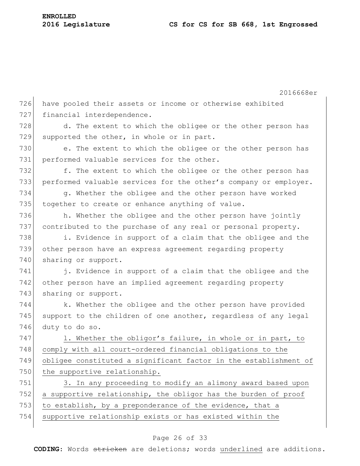|     | 2016668er                                                        |
|-----|------------------------------------------------------------------|
| 726 | have pooled their assets or income or otherwise exhibited        |
| 727 | financial interdependence.                                       |
| 728 | d. The extent to which the obligee or the other person has       |
| 729 | supported the other, in whole or in part.                        |
| 730 | e. The extent to which the obligee or the other person has       |
| 731 | performed valuable services for the other.                       |
| 732 | f. The extent to which the obligee or the other person has       |
| 733 | performed valuable services for the other's company or employer. |
| 734 | g. Whether the obligee and the other person have worked          |
| 735 | together to create or enhance anything of value.                 |
| 736 | h. Whether the obligee and the other person have jointly         |
| 737 | contributed to the purchase of any real or personal property.    |
| 738 | i. Evidence in support of a claim that the obligee and the       |
| 739 | other person have an express agreement regarding property        |
| 740 | sharing or support.                                              |
| 741 | j. Evidence in support of a claim that the obligee and the       |
| 742 | other person have an implied agreement regarding property        |
| 743 | sharing or support.                                              |
| 744 | k. Whether the obligee and the other person have provided        |
| 745 | support to the children of one another, regardless of any legal  |
| 746 | duty to do so.                                                   |
| 747 | 1. Whether the obligor's failure, in whole or in part, to        |
| 748 | comply with all court-ordered financial obligations to the       |
| 749 | obligee constituted a significant factor in the establishment of |
| 750 | the supportive relationship.                                     |
| 751 | 3. In any proceeding to modify an alimony award based upon       |
| 752 | a supportive relationship, the obligor has the burden of proof   |
| 753 | to establish, by a preponderance of the evidence, that a         |
| 754 | supportive relationship exists or has existed within the         |
|     |                                                                  |

### Page 26 of 33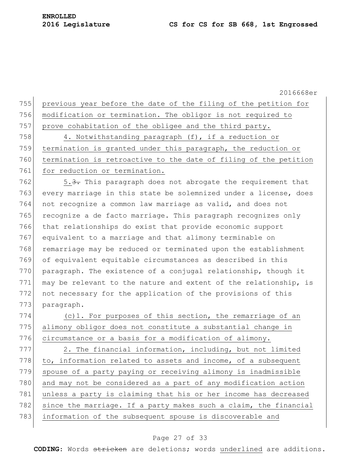2016668er 755 previous year before the date of the filing of the petition for 756 modification or termination. The obligor is not required to 757 prove cohabitation of the obligee and the third party. 758 4. Notwithstanding paragraph (f), if a reduction or 759 termination is granted under this paragraph, the reduction or 760 termination is retroactive to the date of filing of the petition 761 for reduction or termination. 762  $\vert$  5.3. This paragraph does not abrogate the requirement that 763 every marriage in this state be solemnized under a license, does 764 not recognize a common law marriage as valid, and does not 765 recognize a de facto marriage. This paragraph recognizes only 766 that relationships do exist that provide economic support 767 equivalent to a marriage and that alimony terminable on 768 remarriage may be reduced or terminated upon the establishment 769 of equivalent equitable circumstances as described in this 770 paragraph. The existence of a conjugal relationship, though it 771 may be relevant to the nature and extent of the relationship, is 772 not necessary for the application of the provisions of this 773 paragraph. 774  $(c)$ 1. For purposes of this section, the remarriage of an 775 alimony obligor does not constitute a substantial change in 776 circumstance or a basis for a modification of alimony. 777 2. The financial information, including, but not limited 778 to, information related to assets and income, of a subsequent 779 spouse of a party paying or receiving alimony is inadmissible 780 and may not be considered as a part of any modification action 781 unless a party is claiming that his or her income has decreased 782 since the marriage. If a party makes such a claim, the financial 783 information of the subsequent spouse is discoverable and

#### Page 27 of 33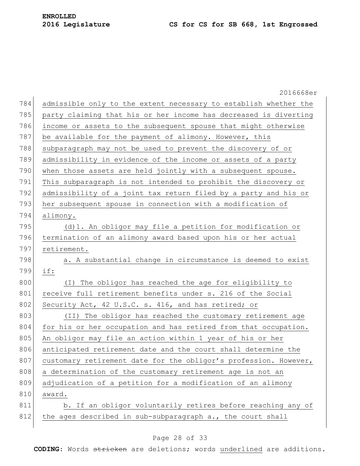|     | 2016668er                                                        |
|-----|------------------------------------------------------------------|
| 784 | admissible only to the extent necessary to establish whether the |
| 785 | party claiming that his or her income has decreased is diverting |
| 786 | income or assets to the subsequent spouse that might otherwise   |
| 787 | be available for the payment of alimony. However, this           |
| 788 | subparagraph may not be used to prevent the discovery of or      |
| 789 | admissibility in evidence of the income or assets of a party     |
| 790 | when those assets are held jointly with a subsequent spouse.     |
| 791 | This subparagraph is not intended to prohibit the discovery or   |
| 792 | admissibility of a joint tax return filed by a party and his or  |
| 793 | her subsequent spouse in connection with a modification of       |
| 794 | alimony.                                                         |
| 795 | (d)1. An obligor may file a petition for modification or         |
| 796 | termination of an alimony award based upon his or her actual     |
| 797 | retirement.                                                      |
| 798 | a. A substantial change in circumstance is deemed to exist       |
| 799 | if:                                                              |
| 800 | (I) The obligor has reached the age for eligibility to           |
| 801 | receive full retirement benefits under s. 216 of the Social      |
| 802 | Security Act, 42 U.S.C. s. 416, and has retired; or              |
| 803 | (II) The obligor has reached the customary retirement age        |
| 804 | for his or her occupation and has retired from that occupation.  |
| 805 | An obligor may file an action within 1 year of his or her        |
| 806 | anticipated retirement date and the court shall determine the    |
| 807 | customary retirement date for the obligor's profession. However, |
| 808 | a determination of the customary retirement age is not an        |
| 809 | adjudication of a petition for a modification of an alimony      |
| 810 | award.                                                           |
| 811 | b. If an obligor voluntarily retires before reaching any of      |
| 812 | the ages described in sub-subparagraph a., the court shall       |
|     |                                                                  |

### Page 28 of 33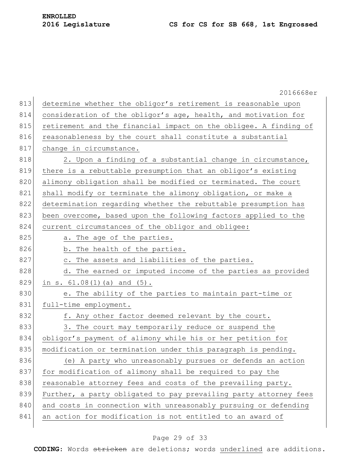|     | 2016668er                                                        |
|-----|------------------------------------------------------------------|
| 813 | determine whether the obligor's retirement is reasonable upon    |
| 814 | consideration of the obligor's age, health, and motivation for   |
| 815 | retirement and the financial impact on the obligee. A finding of |
| 816 | reasonableness by the court shall constitute a substantial       |
| 817 | change in circumstance.                                          |
| 818 | 2. Upon a finding of a substantial change in circumstance,       |
| 819 | there is a rebuttable presumption that an obligor's existing     |
| 820 | alimony obligation shall be modified or terminated. The court    |
| 821 | shall modify or terminate the alimony obligation, or make a      |
| 822 | determination regarding whether the rebuttable presumption has   |
| 823 | been overcome, based upon the following factors applied to the   |
| 824 | current circumstances of the obligor and obligee:                |
| 825 | a. The age of the parties.                                       |
| 826 | b. The health of the parties.                                    |
| 827 | c. The assets and liabilities of the parties.                    |
| 828 | d. The earned or imputed income of the parties as provided       |
| 829 | in s. $61.08(1)$ (a) and $(5)$ .                                 |
| 830 | e. The ability of the parties to maintain part-time or           |
| 831 | full-time employment.                                            |
| 832 | f. Any other factor deemed relevant by the court.                |
| 833 | 3. The court may temporarily reduce or suspend the               |
| 834 | obligor's payment of alimony while his or her petition for       |
| 835 | modification or termination under this paragraph is pending.     |
| 836 | (e) A party who unreasonably pursues or defends an action        |
| 837 | for modification of alimony shall be required to pay the         |
| 838 | reasonable attorney fees and costs of the prevailing party.      |
| 839 | Further, a party obligated to pay prevailing party attorney fees |
| 840 | and costs in connection with unreasonably pursuing or defending  |
| 841 | an action for modification is not entitled to an award of        |
|     |                                                                  |

### Page 29 of 33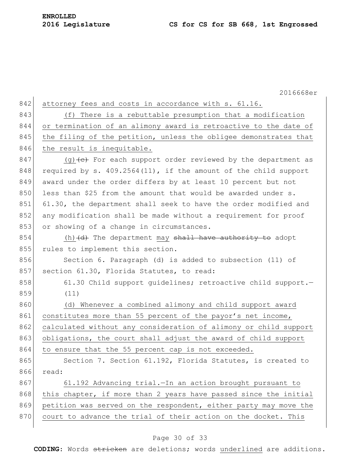|     | 2016668er                                                                      |
|-----|--------------------------------------------------------------------------------|
| 842 | attorney fees and costs in accordance with s. 61.16.                           |
| 843 | There is a rebuttable presumption that a modification<br>(f)                   |
| 844 | or termination of an alimony award is retroactive to the date of               |
| 845 | the filing of the petition, unless the obligee demonstrates that               |
| 846 | the result is inequitable.                                                     |
| 847 | (g) $\left\{e\right\}$ For each support order reviewed by the department as    |
| 848 | required by s. $409.2564(11)$ , if the amount of the child support             |
| 849 | award under the order differs by at least 10 percent but not                   |
| 850 | less than \$25 from the amount that would be awarded under s.                  |
| 851 | 61.30, the department shall seek to have the order modified and                |
| 852 | any modification shall be made without a requirement for proof                 |
| 853 | or showing of a change in circumstances.                                       |
| 854 | (h) $\left(\mathrm{d}\right)$ The department may shall have authority to adopt |
| 855 | rules to implement this section.                                               |
| 856 | Section 6. Paragraph (d) is added to subsection (11) of                        |
| 857 | section 61.30, Florida Statutes, to read:                                      |
| 858 | 61.30 Child support quidelines; retroactive child support.-                    |
| 859 | (11)                                                                           |
| 860 | (d) Whenever a combined alimony and child support award                        |
| 861 | constitutes more than 55 percent of the payor's net income,                    |
| 862 | calculated without any consideration of alimony or child support               |
| 863 | obligations, the court shall adjust the award of child support                 |
| 864 | to ensure that the 55 percent cap is not exceeded.                             |
| 865 | Section 7. Section 61.192, Florida Statutes, is created to                     |
| 866 | read:                                                                          |
| 867 | 61.192 Advancing trial. - In an action brought pursuant to                     |
| 868 | this chapter, if more than 2 years have passed since the initial               |
| 869 | petition was served on the respondent, either party may move the               |
| 870 | court to advance the trial of their action on the docket. This                 |

### Page 30 of 33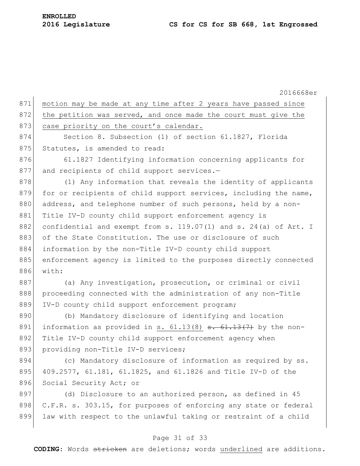2016668er 871 motion may be made at any time after 2 years have passed since 872 the petition was served, and once made the court must give the 873 case priority on the court's calendar. 874 Section 8. Subsection (1) of section 61.1827, Florida 875 Statutes, is amended to read: 876 61.1827 Identifying information concerning applicants for 877 and recipients of child support services.-878 (1) Any information that reveals the identity of applicants 879 for or recipients of child support services, including the name, 880 address, and telephone number of such persons, held by a non-881 Title IV-D county child support enforcement agency is 882 confidential and exempt from s. 119.07(1) and s. 24(a) of Art. I 883 of the State Constitution. The use or disclosure of such 884 information by the non-Title IV-D county child support 885 enforcement agency is limited to the purposes directly connected 886 with: 887 (a) Any investigation, prosecution, or criminal or civil 888 proceeding connected with the administration of any non-Title 889 IV-D county child support enforcement program; 890 (b) Mandatory disclosure of identifying and location 891 information as provided in s.  $61.13(8)$  s.  $61.13(7)$  by the non-892 Title IV-D county child support enforcement agency when 893 providing non-Title IV-D services; 894 (c) Mandatory disclosure of information as required by ss. 895 409.2577, 61.181, 61.1825, and 61.1826 and Title IV-D of the 896 Social Security Act; or 897 (d) Disclosure to an authorized person, as defined in 45 898 C.F.R. s. 303.15, for purposes of enforcing any state or federal 899 law with respect to the unlawful taking or restraint of a child

#### Page 31 of 33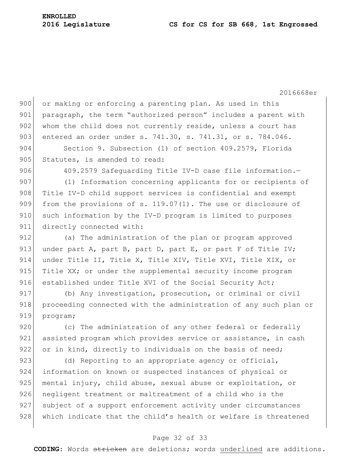2016668er 900 or making or enforcing a parenting plan. As used in this 901 paragraph, the term "authorized person" includes a parent with 902 whom the child does not currently reside, unless a court has 903 entered an order under s. 741.30, s. 741.31, or s. 784.046. 904 Section 9. Subsection (1) of section 409.2579, Florida 905 Statutes, is amended to read: 906 409.2579 Safequarding Title IV-D case file information.-907 (1) Information concerning applicants for or recipients of 908 Title IV-D child support services is confidential and exempt 909 from the provisions of s. 119.07(1). The use or disclosure of 910 such information by the IV-D program is limited to purposes 911 directly connected with: 912 (a) The administration of the plan or program approved 913 under part A, part B, part D, part E, or part F of Title IV; 914 under Title II, Title X, Title XIV, Title XVI, Title XIX, or 915 Title XX; or under the supplemental security income program 916 established under Title XVI of the Social Security Act; 917 (b) Any investigation, prosecution, or criminal or civil 918 proceeding connected with the administration of any such plan or 919 program; 920 (c) The administration of any other federal or federally 921 assisted program which provides service or assistance, in cash 922 or in kind, directly to individuals on the basis of need; 923 (d) Reporting to an appropriate agency or official, 924 information on known or suspected instances of physical or 925 mental injury, child abuse, sexual abuse or exploitation, or 926 negligent treatment or maltreatment of a child who is the 927 subject of a support enforcement activity under circumstances

#### Page 32 of 33

928 which indicate that the child's health or welfare is threatened